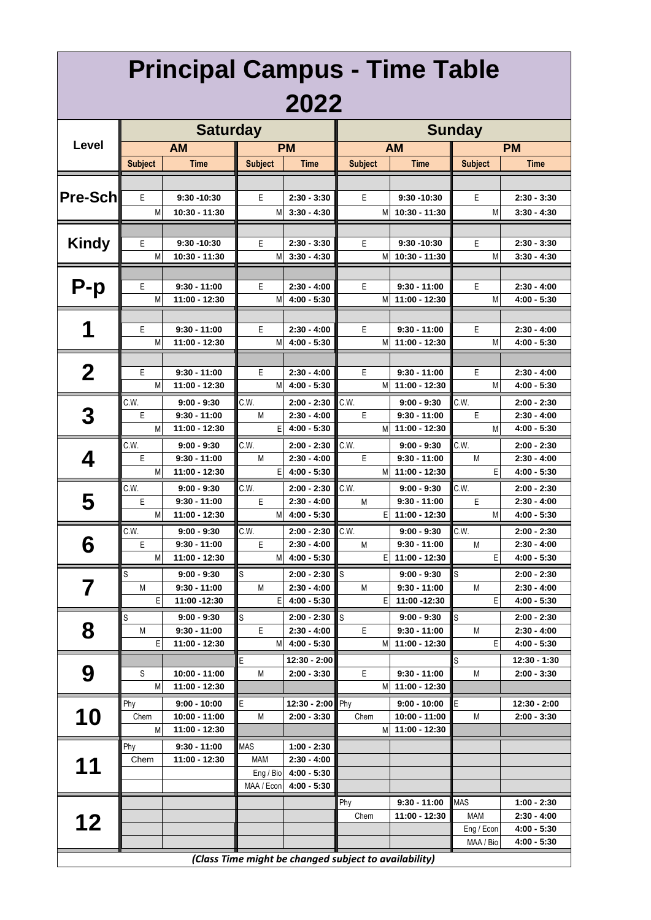|                 |                | <b>Principal Campus - Time Table</b> |                |                                   |                                                       |                                 |                |                                |
|-----------------|----------------|--------------------------------------|----------------|-----------------------------------|-------------------------------------------------------|---------------------------------|----------------|--------------------------------|
|                 |                |                                      |                | 2022                              |                                                       |                                 |                |                                |
|                 |                | <b>Saturday</b>                      |                |                                   |                                                       |                                 | <b>Sunday</b>  |                                |
| Level           |                | <b>AM</b>                            |                | <b>PM</b>                         |                                                       | <b>AM</b>                       |                | <b>PM</b>                      |
|                 | <b>Subject</b> | Time                                 | <b>Subject</b> | Time                              | <b>Subject</b>                                        | Time                            | <b>Subject</b> | <b>Time</b>                    |
|                 |                |                                      |                |                                   |                                                       |                                 |                |                                |
| <b>Pre-Schl</b> | Е              | 9:30 - 10:30                         | Е              | $2:30 - 3:30$                     | Е                                                     | 9:30 - 10:30                    | Ε              | $2:30 - 3:30$                  |
|                 | M              | 10:30 - 11:30                        | M              | $3:30 - 4:30$                     | М                                                     | 10:30 - 11:30                   | M              | $3:30 - 4:30$                  |
|                 |                |                                      |                |                                   |                                                       |                                 |                |                                |
| <b>Kindy</b>    | Е              | 9:30 -10:30                          | Е              | $2:30 - 3:30$                     | E                                                     | 9:30 - 10:30                    | E              | $2:30 - 3:30$                  |
|                 | M              | 10:30 - 11:30                        | М              | $3:30 - 4:30$                     | М                                                     | 10:30 - 11:30                   | M              | $3:30 - 4:30$                  |
|                 |                |                                      |                |                                   |                                                       |                                 |                |                                |
| $P-p$           | Е              | $9:30 - 11:00$                       | E              | $2:30 - 4:00$                     | Е                                                     | $9:30 - 11:00$                  | E              | $2:30 - 4:00$                  |
|                 | M              | 11:00 - 12:30                        | М              | $4:00 - 5:30$                     | М                                                     | 11:00 - 12:30                   | M              | 4:00 - 5:30                    |
|                 |                |                                      |                |                                   |                                                       |                                 |                |                                |
| 1               | Е<br>M         | 9:30 - 11:00<br>11:00 - 12:30        | Е<br>М         | $2:30 - 4:00$<br>$4:00 - 5:30$    | Е<br>М                                                | $9:30 - 11:00$<br>11:00 - 12:30 | Ε<br>M         | $2:30 - 4:00$<br>4:00 - 5:30   |
|                 |                |                                      |                |                                   |                                                       |                                 |                |                                |
| $\bf{2}$        | Ε              | $9:30 - 11:00$                       | Ε              | $2:30 - 4:00$                     | Ε                                                     | $9:30 - 11:00$                  | Ε              | $2:30 - 4:00$                  |
|                 | M              | 11:00 - 12:30                        | M              | $4:00 - 5:30$                     | М                                                     | 11:00 - 12:30                   | M              | 4:00 - 5:30                    |
|                 | C.W.           | $9:00 - 9:30$                        | C.W.           | $2:00 - 2:30$                     | C.W.                                                  | $9:00 - 9:30$                   | C.W.           | 2:00 - 2:30                    |
| 3               | Ε              | 9:30 - 11:00                         | M              | $2:30 - 4:00$                     | Ε                                                     | $9:30 - 11:00$                  | Е              | 2:30 - 4:00                    |
|                 | M              | 11:00 - 12:30                        | Е              | $4:00 - 5:30$                     | M                                                     | 11:00 - 12:30                   | M              | 4:00 - 5:30                    |
|                 | C.W.           | $9:00 - 9:30$                        | C.W.           | $2:00 - 2:30$                     | C.W.                                                  | $9:00 - 9:30$                   | C.W.           | $2:00 - 2:30$                  |
| 4               | Ε              | 9:30 - 11:00                         | M              | $2:30 - 4:00$                     | E                                                     | $9:30 - 11:00$                  | M              | $2:30 - 4:00$                  |
|                 | M              | 11:00 - 12:30                        | E              | $4:00 - 5:30$                     | М                                                     | 11:00 - 12:30                   | Ε              | 4:00 - 5:30                    |
|                 | C.W.           | $9:00 - 9:30$                        | C.W.           | $2:00 - 2:30$                     | C.W.                                                  | $9:00 - 9:30$                   | C.W.           | 2:00 - 2:30                    |
| 5               | Ε              | 9:30 - 11:00                         | Ε              | $2:30 - 4:00$                     | M                                                     | $9:30 - 11:00$                  | E              | 2:30 - 4:00                    |
|                 | M              | 11:00 - 12:30                        | М              | $4:00 - 5:30$                     | Е                                                     | 11:00 - 12:30                   | M              | $4:00 - 5:30$                  |
| Q               | C.W.<br>Ε      | $9:00 - 9:30$<br>$9:30 - 11:00$      | C.W.<br>Ε      | $2:00 - 2:30$<br>$2:30 - 4:00$    | C.W.<br>M                                             | $9:00 - 9:30$<br>$9:30 - 11:00$ | C.W.<br>M      | $2:00 - 2:30$<br>$2:30 - 4:00$ |
| Õ               | M              | 11:00 - 12:30                        | M              | $4:00 - 5:30$                     | Е                                                     | 11:00 - 12:30                   | E              | $4:00 - 5:30$                  |
|                 | S              | $9:00 - 9:30$                        | S              | $2:00 - 2:30$                     | ls                                                    | $9:00 - 9:30$                   | S              | 2:00 - 2:30                    |
| 7               | M              | 9:30 - 11:00                         | M              | $2:30 - 4:00$                     | М                                                     | $9:30 - 11:00$                  | М              | $2:30 - 4:00$                  |
|                 | Ε              | 11:00 -12:30                         | E.             | $4:00 - 5:30$                     | Ε                                                     | 11:00 -12:30                    | Ε              | $4:00 - 5:30$                  |
|                 | S              | $9:00 - 9:30$                        | S              | $2:00 - 2:30$                     | S                                                     | $9:00 - 9:30$                   | S              | $2:00 - 2:30$                  |
| 8               | M              | $9:30 - 11:00$                       | E              | $2:30 - 4:00$                     | E                                                     | $9:30 - 11:00$                  | M              | 2:30 - 4:00                    |
|                 | E              | 11:00 - 12:30                        | M              | $4:00 - 5:30$                     | М                                                     | 11:00 - 12:30                   | Ε              | $4:00 - 5:30$                  |
|                 |                |                                      | Е              | 12:30 - 2:00                      |                                                       |                                 | S              | 12:30 - 1:30                   |
| 9               | S              | 10:00 - 11:00                        | M              | $2:00 - 3:30$                     | Е                                                     | $9:30 - 11:00$                  | M              | $2:00 - 3:30$                  |
|                 | M              | 11:00 - 12:30                        |                |                                   |                                                       | M 11:00 - 12:30                 |                |                                |
| 10              | Phy<br>Chem    | $9:00 - 10:00$<br>10:00 - 11:00      | E<br>M         | 12:30 - 2:00 Phy<br>$2:00 - 3:30$ | Chem                                                  | $9:00 - 10:00$<br>10:00 - 11:00 | Ε<br>M         | 12:30 - 2:00<br>$2:00 - 3:30$  |
|                 | M              | 11:00 - 12:30                        |                |                                   | M                                                     | 11:00 - 12:30                   |                |                                |
|                 | Phy            | $9:30 - 11:00$                       | <b>MAS</b>     | $1:00 - 2:30$                     |                                                       |                                 |                |                                |
|                 | Chem           | 11:00 - 12:30                        | <b>MAM</b>     | $2:30 - 4:00$                     |                                                       |                                 |                |                                |
| 11              |                |                                      | Eng / Bio      | $4:00 - 5:30$                     |                                                       |                                 |                |                                |
|                 |                |                                      | MAA / Econ     | $4:00 - 5:30$                     |                                                       |                                 |                |                                |
|                 |                |                                      |                |                                   | Phy                                                   | 9:30 - 11:00                    | <b>MAS</b>     | $1:00 - 2:30$                  |
| 12              |                |                                      |                |                                   | Chem                                                  | 11:00 - 12:30                   | <b>MAM</b>     | $2:30 - 4:00$                  |
|                 |                |                                      |                |                                   |                                                       |                                 | Eng / Econ     | $4:00 - 5:30$                  |
|                 |                |                                      |                |                                   |                                                       |                                 | MAA / Bio      | $4:00 - 5:30$                  |
|                 |                |                                      |                |                                   | (Class Time might be changed subject to availability) |                                 |                |                                |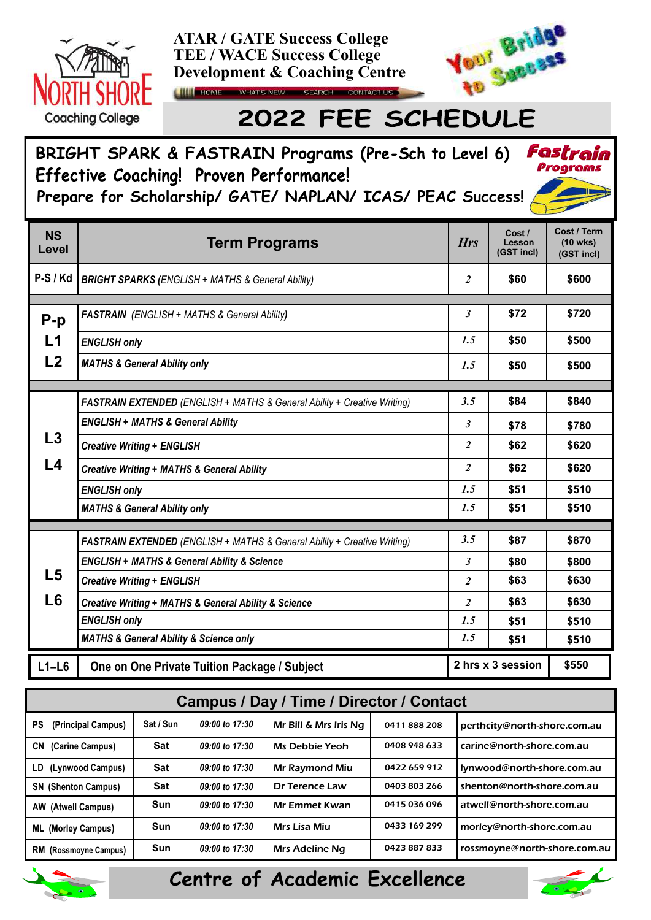



## 2022 FEE SCHEDULE

## **BRIGHT SPARK & FASTRAIN Programs (** Fastrain Programs Effective Coaching! Proven Performance! **Prepare for Scholarship/ GATE/ NAPLAN/ ICAS/ PEAC Success!**

| <b>NS</b><br>Level | <b>Term Programs</b>                                                     | <b>Hrs</b>     | Cost/<br>Lesson<br>(GST incl) | Cost / Term<br>$(10 \text{ wks})$<br>(GST incl) |
|--------------------|--------------------------------------------------------------------------|----------------|-------------------------------|-------------------------------------------------|
| $P-S/Kd$           | <b>BRIGHT SPARKS (ENGLISH + MATHS &amp; General Ability)</b>             | $\overline{2}$ | \$60                          | \$600                                           |
|                    |                                                                          |                |                               |                                                 |
| $P-p$              | <b>FASTRAIN</b> (ENGLISH + MATHS & General Ability)                      | 3              | \$72                          | \$720                                           |
| L1                 | <b>ENGLISH only</b>                                                      | 1.5            | \$50                          | \$500                                           |
| L2                 | <b>MATHS &amp; General Ability only</b>                                  | 1.5            | \$50                          | \$500                                           |
|                    |                                                                          |                |                               |                                                 |
|                    | FASTRAIN EXTENDED (ENGLISH + MATHS & General Ability + Creative Writing) | 3.5            | \$84                          | \$840                                           |
|                    | <b>ENGLISH + MATHS &amp; General Ability</b>                             | 3              | \$78                          | \$780                                           |
| L3                 | <b>Creative Writing + ENGLISH</b>                                        | $\overline{c}$ | \$62                          | \$620                                           |
| L <sub>4</sub>     | <b>Creative Writing + MATHS &amp; General Ability</b>                    | $\overline{c}$ | \$62                          | \$620                                           |
|                    | <b>ENGLISH only</b>                                                      | 1.5            | \$51                          | \$510                                           |
|                    | <b>MATHS &amp; General Ability only</b>                                  | 1.5            | \$51                          | \$510                                           |
|                    |                                                                          |                |                               |                                                 |
|                    | FASTRAIN EXTENDED (ENGLISH + MATHS & General Ability + Creative Writing) | 3.5            | \$87                          | \$870                                           |
|                    | <b>ENGLISH + MATHS &amp; General Ability &amp; Science</b>               | 3              | \$80                          | \$800                                           |
| L <sub>5</sub>     | <b>Creative Writing + ENGLISH</b>                                        | $\overline{c}$ | \$63                          | \$630                                           |
| L <sub>6</sub>     | <b>Creative Writing + MATHS &amp; General Ability &amp; Science</b>      | $\overline{2}$ | \$63                          | \$630                                           |
|                    | <b>ENGLISH only</b>                                                      | 1.5            | \$51                          | \$510                                           |
|                    | <b>MATHS &amp; General Ability &amp; Science only</b>                    | 1.5            | \$51                          | \$510                                           |
| $L1-L6$            | One on One Private Tuition Package / Subject                             |                | 2 hrs x 3 session             | \$550                                           |

|                                 |            |                  | Campus / Day / Time / Director / Contact |              |                              |
|---------------------------------|------------|------------------|------------------------------------------|--------------|------------------------------|
| <b>PS</b><br>(Principal Campus) | Sat / Sun  | 09:00 to 17:30   | Mr Bill & Mrs Iris Na                    | 0411888208   | perthcity@north-shore.com.au |
| CN.<br>(Carine Campus)          | Sat        | 09:00 to 17:30   | Ms Debbie Yeoh                           | 0408 948 633 | carine@north-shore.com.au    |
| LD (Lynwood Campus)             | Sat        | 09:00 to 17:30   | <b>Mr Raymond Miu</b>                    | 0422 659 912 | lynwood@north-shore.com.au   |
| <b>SN</b> (Shenton Campus)      | <b>Sat</b> | 09:00 to 17:30   | <b>Dr Terence Law</b>                    | 0403 803 266 | shenton@north-shore.com.au   |
| <b>AW (Atwell Campus)</b>       | Sun        | $09:00$ to 17:30 | <b>Mr Emmet Kwan</b>                     | 0415036096   | atwell@north-shore.com.au    |
| <b>ML (Morley Campus)</b>       | <b>Sun</b> | $09:00$ to 17:30 | Mrs Lisa Miu                             | 0433 169 299 | morley@north-shore.com.au    |
| <b>RM</b> (Rossmoyne Campus)    | Sun        | 09:00 to 17:30   | <b>Mrs Adeline Ng</b>                    | 0423887833   | rossmoyne@north-shore.com.au |



## **Centre of Academic Excellence**

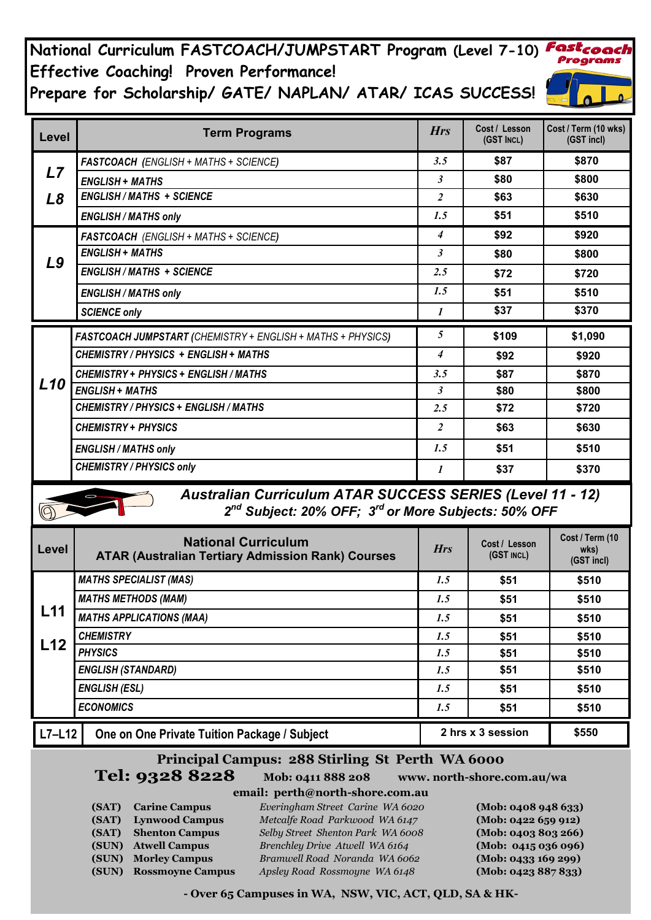**National Curriculum FASTCOACH/JUMPSTART Program (Level 7-10)** Programs **Effective Coaching! Proven Performance! Prepare for Scholarship/ GATE/ NAPLAN/ ATAR/ ICAS SUCCESS!**

| Level           | <b>Term Programs</b>                                                                                                                            | <b>Hrs</b>           | Cost / Lesson<br>(GST INCL) | Cost / Term (10 wks)<br>(GST incl)    |  |  |  |
|-----------------|-------------------------------------------------------------------------------------------------------------------------------------------------|----------------------|-----------------------------|---------------------------------------|--|--|--|
|                 | FASTCOACH (ENGLISH + MATHS + SCIENCE)                                                                                                           | 3.5                  | \$87                        | \$870                                 |  |  |  |
| L7              | <b>ENGLISH + MATHS</b>                                                                                                                          | $\mathfrak{Z}$       | \$80                        | \$800                                 |  |  |  |
| $\mathbf{L8}$   | <b>ENGLISH / MATHS + SCIENCE</b>                                                                                                                | $\overline{2}$       | \$63                        | \$630                                 |  |  |  |
|                 | <b>ENGLISH / MATHS only</b>                                                                                                                     | 1.5                  | \$51                        | \$510                                 |  |  |  |
|                 | FASTCOACH (ENGLISH + MATHS + SCIENCE)                                                                                                           | $\overline{4}$       | \$92                        | \$920                                 |  |  |  |
| L9              | <b>ENGLISH + MATHS</b>                                                                                                                          | $\boldsymbol{\beta}$ | \$80                        | \$800                                 |  |  |  |
|                 | <b>ENGLISH / MATHS + SCIENCE</b>                                                                                                                | 2.5                  | \$72                        | \$720                                 |  |  |  |
|                 | <b>ENGLISH / MATHS only</b>                                                                                                                     | 1.5                  | \$51                        | \$510                                 |  |  |  |
|                 | <b>SCIENCE only</b>                                                                                                                             | 1                    | \$37                        | \$370                                 |  |  |  |
|                 | FASTCOACH JUMPSTART (CHEMISTRY + ENGLISH + MATHS + PHYSICS)                                                                                     | $5\overline{)}$      | \$109                       | \$1,090                               |  |  |  |
|                 | CHEMISTRY / PHYSICS + ENGLISH + MATHS                                                                                                           | 4                    | \$92                        | \$920                                 |  |  |  |
|                 | CHEMISTRY + PHYSICS + ENGLISH / MATHS                                                                                                           | 3.5                  | \$87                        | \$870                                 |  |  |  |
| L <sub>10</sub> | <b>ENGLISH + MATHS</b>                                                                                                                          | $\boldsymbol{\beta}$ | \$80                        | \$800                                 |  |  |  |
|                 | CHEMISTRY / PHYSICS + ENGLISH / MATHS                                                                                                           | 2.5                  | \$72                        | \$720                                 |  |  |  |
|                 | <b>CHEMISTRY + PHYSICS</b>                                                                                                                      | $\overline{2}$       | \$63                        | \$630                                 |  |  |  |
|                 | <b>ENGLISH / MATHS only</b>                                                                                                                     | 1.5                  | \$51                        | \$510                                 |  |  |  |
|                 | <b>CHEMISTRY / PHYSICS only</b>                                                                                                                 | 1                    | \$37                        | \$370                                 |  |  |  |
|                 | <b>Australian Curriculum ATAR SUCCESS SERIES (Level 11 - 12)</b><br>2 <sup>nd</sup> Subject: 20% OFF; 3 <sup>rd</sup> or More Subjects: 50% OFF |                      |                             |                                       |  |  |  |
| Level           | <b>National Curriculum</b><br><b>ATAR (Australian Tertiary Admission Rank) Courses</b>                                                          | <b>Hrs</b>           | Cost / Lesson<br>(GST INCL) | Cost / Term (10<br>wks)<br>(GST incl) |  |  |  |
|                 | <b>MATHS SPECIALIST (MAS)</b>                                                                                                                   | 1.5                  | \$51                        | \$510                                 |  |  |  |
|                 | <b>MATHS METHODS (MAM)</b>                                                                                                                      | 1.5                  | \$51                        | \$510                                 |  |  |  |
| L11             | <b>MATHS APPLICATIONS (MAA)</b>                                                                                                                 | 1.5                  | \$51                        | \$510                                 |  |  |  |
| L12             | <b>CHEMISTRY</b>                                                                                                                                | 1.5                  | \$51                        | \$510                                 |  |  |  |
|                 | <b>PHYSICS</b>                                                                                                                                  | 1.5                  | \$51                        | \$510                                 |  |  |  |
|                 | <b>ENGLISH (STANDARD)</b>                                                                                                                       | 1.5                  | \$51                        | \$510                                 |  |  |  |
|                 | <b>ENGLISH (ESL)</b>                                                                                                                            | 1.5                  | \$51                        | \$510                                 |  |  |  |
|                 | <b>ECONOMICS</b>                                                                                                                                | 1.5                  | \$51                        | \$510                                 |  |  |  |
| $L7-L12$        | One on One Private Tuition Package / Subject                                                                                                    |                      | 2 hrs x 3 session           | \$550                                 |  |  |  |
|                 | Principal Campus: 288 Stirling St Perth WA 6000<br><b>Tel: 9328 8228</b><br>Mob: 0411 888 208<br>www.north-shore.com.au/wa                      |                      |                             |                                       |  |  |  |

**Mob: 0411 888 208 www. north-shore.com.au/wa** 

**email: perth@north-shore.com.au (SAT) Carine Campus** *Everingham Street Carine WA 6020* **(Mob: 0408 948 633) (SAT) Lynwood Campus** *Metcalfe Road Parkwood WA 6147* **(Mob: 0422 659 912) (SAT) Shenton Campus** *Selby Street Shenton Park WA 6008* **(Mob: 0403 803 266) (SUN) Atwell Campus** *Brenchley Drive Atwell WA 6164* **(Mob: 0415 036 096) (SUN) Morley Campus** *Bramwell Road Noranda WA 6062* **(Mob: 0433 169 299) (SUN) Rossmoyne Campus** *Apsley Road Rossmoyne WA 6148* **(Mob: 0423 887 833)** 

**- Over 65 Campuses in WA, NSW, VIC, ACT, QLD, SA & HK-**